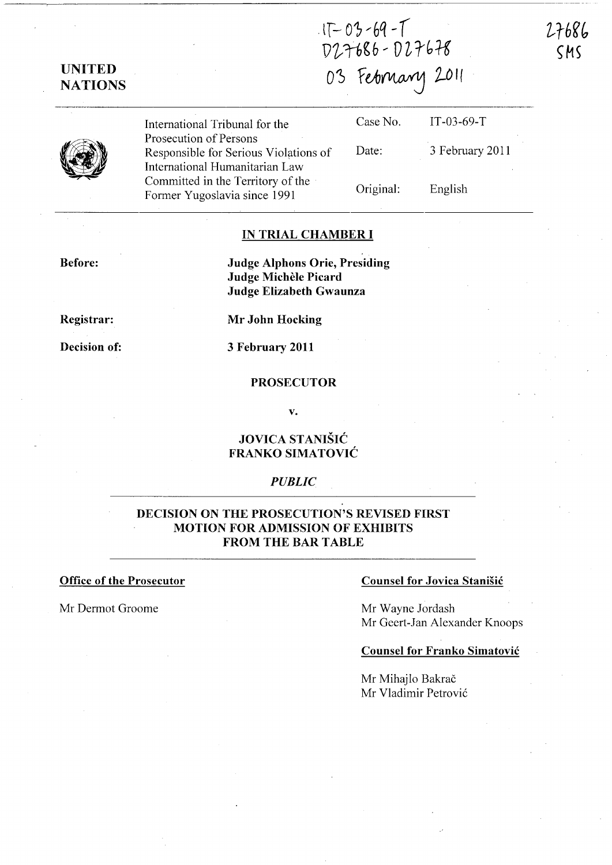$17 - 03 - 69 - T$ D27686-D27678

03 February 2011

UNITED **NATIONS** 

> International Tribunal for the Prosecution of Persons Responsible for Serious Violations of International Humanitarian Law Committed in the Territory of the Former Yugoslavia since 1991

| Case No.  | $IT-03-69-T$    |
|-----------|-----------------|
| Date:     | 3 February 2011 |
| Original: | English         |

27686  $CMS$ 

## IN TRIAL CHAMBER I

Before:

Judge Alphons Orie, Presiding Judge Michèle Picard Judge Elizabeth Gwaunza

Registrar:

Decision of:

Mr John Hocking

3 February 2011

#### PROSECUTOR

v.

## JOVICA STANISIC FRANKO SIMATOVIC

#### *PUBLIC*

# DECISION ON THE PROSECUTION'S REVISED FIRST MOTION FOR ADMISSION OF EXHIBITS FROM THE BAR TABLE

Mr Dermot Groome Mr Wayne Jordash

#### Office of the Prosecutor Counsel for Jovica Stanisic

Mr Geert-Jan Alexander Knoops

## Counsel for Franko Simatovic

Mr Mihajlo Bakrač Mr Vladimir Petrovi6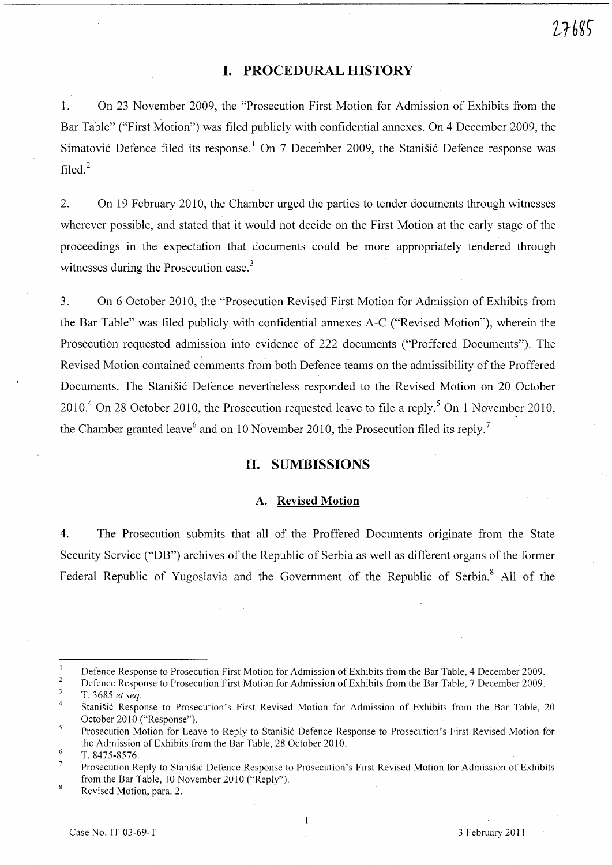# **I. PROCEDURAL HISTORY**

1. On 23 November 2009, the "Prosecution First Motion for Admission of Exhibits from the Bar Table" ("First Motion") was filed publicly with confidential annexes. On 4 December 2009, the Simatović Defence filed its response.<sup>1</sup> On 7 December 2009, the Stanišić Defence response was filed.<sup>2</sup>

2. On 19 February 2010, the Chamber urged the parties to tender documents through witnesses wherever possible, and stated that it would not decide on the First Motion at the early stage of the proceedings in the expectation that documents could be more appropriately tendered through witnesses during the Prosecution case.<sup>3</sup>

3. On 6 October 2010, the "Prosecution Revised First Motion for Admission of Exhibits from the Bar Table" was filed publicly with confidential annexes A-C ("Revised Motion"), wherein the Prosecution requested admission into evidence of 222 documents ("Proffered Documents"). The Revised Motion contained comments from both Defence teams on the admissibility of the Proffered Documents. The Stanisic Defence nevertheless responded to the Revised Motion on 20 October  $2010<sup>4</sup>$  On 28 October 2010, the Prosecution requested leave to file a reply.<sup>5</sup> On 1 November 2010, the Chamber granted leave<sup>6</sup> and on 10 November 2010, the Prosecution filed its reply.<sup>7</sup>

# **II. SUMBISSIONS**

#### **A. Revised Motion**

4. The Prosecution submits that all of the Proffered Documents originate from the State Security Service ("DB") archives of the Republic of Serbia as well as different organs of the former Federal Republic of Yugoslavia and the Government of the Republic of Serbia.<sup>8</sup> All of the

 $\mathbf{1}$ Defence Response to Prosecution First Motion for Admission of Exhibits from the Bar Table, 4 December 2009.

 $\sqrt{2}$ Defence Response to Prosecution First Motion for Admission of Exhibits from the Bar Table, 7 December 2009.  $\overline{3}$ T. 3685 *et seq.* 

 $\overline{4}$ 

Stanisic Response to Prosecution's First Revised Motion for Admission of Exhibits from the Bar Table, 20 October 2010 ("Response").

 $\overline{5}$ Prosecution Motion for Leave to Reply to Stanisic Defence Response to Prosecution's First Revised Motion for the Admission of Exhibits from the Bar Table, 28 October 2010.

<sup>6</sup>  T. 8475-8576.

 $\overline{7}$ Prosecution Reply to Stanisic Defence Response to Prosecution's First Revised Motion for Admission of Exhibits from the Bar Table, 10 November 2010 ("Reply").

 $\mathbf{g}$ Revised Motion, para. 2.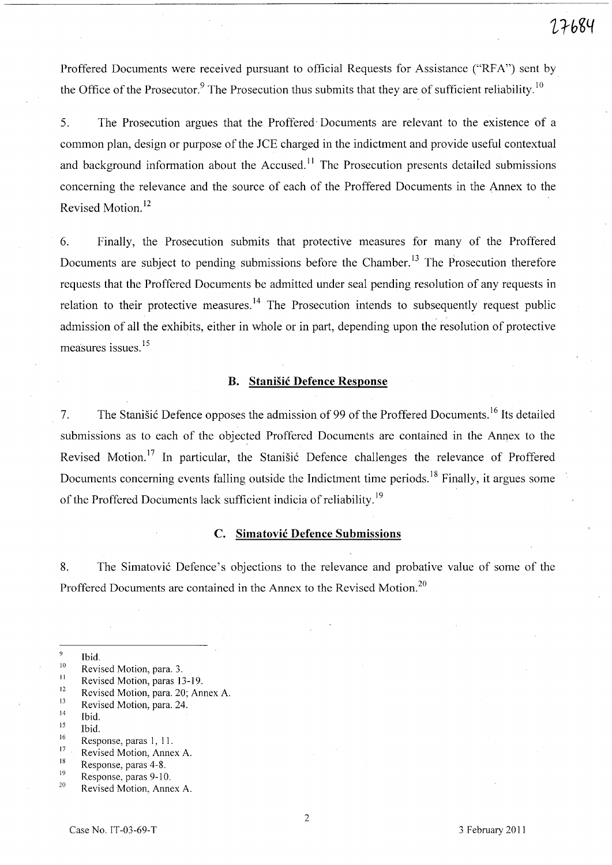Proffered Documents were received pursuant to official Requests for Assistance ("RFA") sent by the Office of the Prosecutor.<sup>9</sup> The Prosecution thus submits that they are of sufficient reliability.<sup>10</sup>

5. The Prosecution argues that the Proffered' Documents are relevant to the existence of a common plan, design or purpose of the *lCE* charged in the indictment and provide useful contextual and background information about the Accused.<sup>11</sup> The Prosecution presents detailed submissions concerning the relevance and the source of each of the Proffered Documents in the Annex to the Revised Motion. 12

6. Finally, the Prosecution submits that protective measures for many of the Proffered Documents are subject to pending submissions before the Chamber.<sup>13</sup> The Prosecution therefore requests that the Proffered Documents be admitted under seal pending resolution of any requests in relation to their protective measures.<sup>14</sup> The Prosecution intends to subsequently request public admission of all the exhibits, either in whole or in part, depending upon the resolution of protective measures issues.<sup>15</sup>

#### **B. Stanisic Defence Response**

7. The Stanisic Defence opposes the admission of 99 of the Proffered Documents.<sup>16</sup> Its detailed submissions as to each of the objected Proffered Documents are contained in the Annex to the Revised Motion.<sup>17</sup> In particular, the Stanisic Defence challenges the relevance of Proffered Documents concerning events falling outside the Indictment time periods.<sup>18</sup> Finally, it argues some of the Proffered Documents lack sufficient indicia of reliability. <sup>19</sup>

# C. **Simatovic Defence Submissions**

8. The Simatović Defence's objections to the relevance and probative value of some of the Proffered Documents are contained in the Annex to the Revised Motion.<sup>20</sup>

- <sup>9</sup><br>
<sup>10</sup><br>
Revised Motion, para. 3.<br>
<sup>11</sup><br>
Revised Motion, para. 20; Annex A.<br>
<sup>13</sup><br>
Revised Motion, para. 24.<br>
<sup>14</sup><br>
<sup>14</sup><br>
Ibid.<br>
<sup>15</sup><br>
Ibid.<br>
Response, paras 1, 11.<br>
<sup>17</sup><br>
Revised Motion, Annex A.<br>
<sup>18</sup><br>
Response, paras
- 
- 
- 
- 
- 
- 
- 
-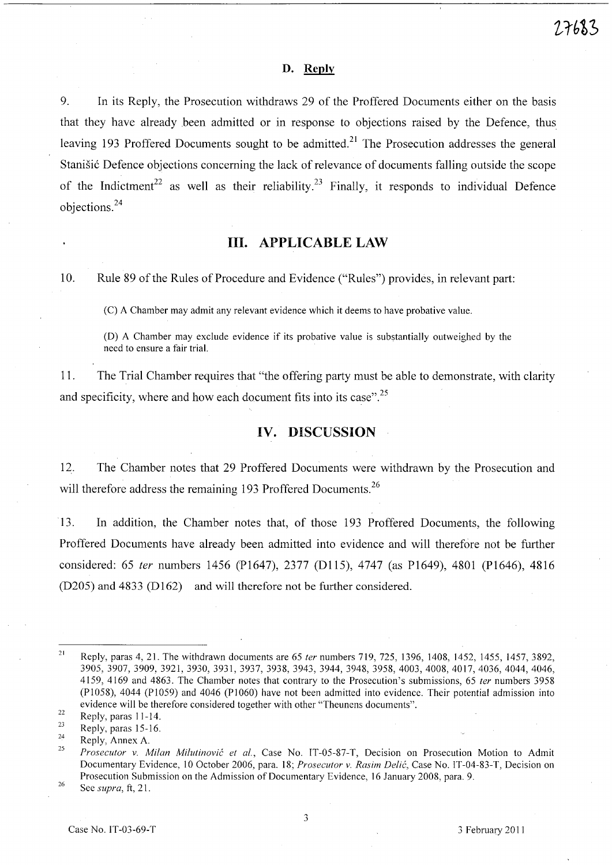#### **D. Reply**

9. In its Reply, the Prosecution withdraws 29 of the Proffered Documents either on the basis that they have already been admitted or in response to objections raised by the Defence, thus leaving 193 Proffered Documents sought to be admitted.<sup>21</sup> The Prosecution addresses the general Stanišić Defence objections concerning the lack of relevance of documents falling outside the scope of the Indictment<sup>22</sup> as well as their reliability.<sup>23</sup> Finally, it responds to individual Defence  $\omega$  objections.<sup>24</sup>

## **Ill. APPLICABLE LAW**

10. Rule 89 of the Rules of Procedure and Evidence ("Rules") provides, in relevant part:

(C) A Chamber may admit any relevant evidence which it deems to have probative value.

(D) A Chamber may exclude evidence if its probative value is substantially outweighed by the need to ensure a fair trial.

11. The Trial Chamber requires that "the offering party must be able to demonstrate, with clarity and specificity, where and how each document fits into its case".<sup>25</sup>

## **IV. DISCUSSION**

12. The Chamber notes that 29 Proffered Documents were withdrawn by the Prosecution and will therefore address the remaining 193 Proffered Documents.<sup>26</sup>

13. In addition, the Chamber notes that, of those 193 Proffered Documents, the following Proffered Documents have already been admitted into evidence and will therefore not be further considered: 65 fer numbers 1456 (P1647), 2377 (Dl15), 4747 (as P1649), 4801 (P1646), 4816 (D205) and 4833 (D162) and will therefore not be further considered.

<sup>21</sup>  Reply, paras 4, 21. The withdrawn documents are 65 *ter* numbers 719, 725, 1396, 1408, 1452, 1455, 1457,3892, 3905,3907,3909,3921,3930,3931,3937,3938,3943, 3944, 3948, 3958, 4003, 4008, 4017, 4036, 4044, 4046, 4159,4169 and 4863. The Chamber notes that contrary to the Prosecution's submissions, 65 *ter* numbers 3958 (P1058), 4044 (P1059) and 4046 (PI060) have not been admitted into evidence. Their potential admission into evidence will be therefore considered together with other "Theunens documents".

<sup>22</sup>  Reply, paras 11-14.

<sup>23</sup>  Reply, paras 15-16.

<sup>24</sup>  Reply, Annex A.

<sup>25</sup>  *Prosecutor v. Milan Milutinovic et al.,* Case No. *IT-05-87-T,* Decision on Prosecution Motion to Admit Documentary Evidence, 10 October 2006, para. 18; *Prosecutor v. Rasim Delic,* Case No. IT-04-83-T, Decision on Prosecution Submission on the Admission of Documentary Evidence, 16 January 2008, para. 9.

<sup>26</sup>  See *supra,* ft, 21.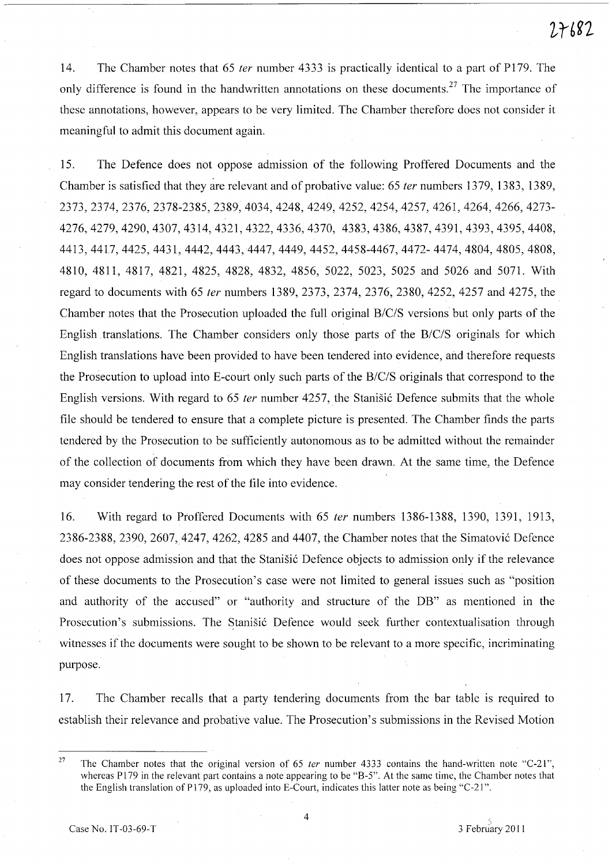14. The Chamber notes that 65 *ter* number 4333 is practically identical to a part of P179. The only difference is found in the handwritten annotations on these documents.<sup>27</sup> The importance of these annotations, however, appears to be very limited. The Chamber therefore does not consider it meaningful to admit this document again.

15. The Defence does not oppose admission of the following Proffered Documents and the Chamber is satisfied that they are relevant and of probative value: 65 ter numbers 1379, 1383, 1389, 2373,2374,2376,2378-2385,2389,4034,4248,4249,4252,4254,4257,4261,4264,4266,4273- 4276,4279,4290,4307,4314,4321,4322,4336,4370, 4383,4386,4387,4391,4393,4395,4408, 4413,4417,4425,4431, 4442,4443,4447,4449, 4452,4458-4467,4472-4474,4804,4805,4808, 4810,4811,4817, 4821, 4825, 4828, 4832, 4856, 5022, 5023, 5025 and 5026 and 5071. With regard to documents with 65 fer numbers 1389,2373, 2374, 2376, 2380, 4252, 4257 and 4275, the Chamber notes that the Prosecution uploaded the full original *B/C/S* versions but only parts of the English translations. The Chamber considers only those parts of the *B/C/S* originals for which English translations have been provided to have been tendered into evidence, and therefore requests the Prosecution to upload into E-court only such parts of the *B/C/S* originals that correspond to the English versions. With regard to 65 *ter* number 4257, the Stanistic Defence submits that the whole file should be tendered to ensure that a complete picture is presented. The Chamber finds the parts tendered by the Prosecution to be sufficiently autonomous as to be admitted without the remainder of the collection of documents from which they have been drawn. At the same time, the Defence may consider tendering the rest of the file into evidence.

16. With regard to Proffered Documents with 65 fer numbers 1386-1388, 1390, 1391, 1913, 2386-2388,2390,2607,4247,4262,4285 and 4407, the Chamber notes that the Simatovi6 Defence does not oppose admission and that the Stanišić Defence objects to admission only if the relevance of these documents to the Prosecution's case were not limited to general issues such as "position and authority of the accused" or "authority and structure of the DB" as mentioned in the Prosecution's submissions. The Stanišić Defence would seek further contextualisation through witnesses if the documents were sought to be shown to be relevant to a more specific, incriminating purpose.

17. The Chamber recalls that a party tendering documents from the bar table is required to establish their relevance and probative value. The Prosecution's submissions in the Revised Motion

4

<sup>&</sup>lt;sup>27</sup> The Chamber notes that the original version of 65 *ter* number 4333 contains the hand-written note "C-21", whereas P179 in the relevant part contains a note appearing to be "B-5". At the same time, the Chamber notes that the English translation of P179, as uploaded into E-Court, indicates this latter note as being "C-21".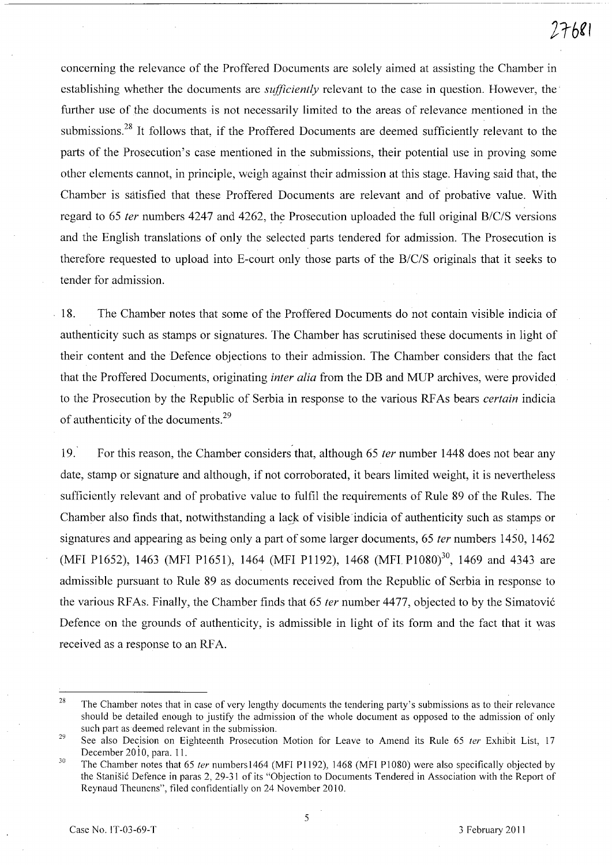concerning the relevance of the Proffered Documents are solely aimed at assisting the Chamber in establishing whether the documents are *sufficiently* relevant to the case in question. However, the· further use of the documents is not necessarily limited to the areas of relevance mentioned in the submissions.28 It follows that, if the Proffered Documents are deemed sufficiently relevant to the parts of the Prosecution's case mentioned in the submissions, their potential use in proving some other elements cannot, in principle, weigh against their admission at this stage. Having said that, the Chamber is satisfied that these Proffered Documents are relevant and of probative value. With regard to 65 *ter* numbers 4247 and 4262, the Prosecution uploaded the full original *B/C/S* versions and the English translations of only the selected parts tendered for admission. The Prosecution is therefore requested to upload into E-court only those parts of the *B/C/S* originals that it seeks to tender for admission.

18. The Chamber notes that some of the Proffered Documents do not contain visible indicia of authenticity such as stamps or signatures. The Chamber has scrutinised these documents in light of their content and the Defence objections to their admission. The Chamber considers that the fact that the Proffered Documents, originating *inter alia* from the DB and MUP archives, were provided to the Prosecution by the Republic of Serbia in response to the various RF As bears *certain* indicia of authenticity of the documents.<sup>29</sup>

19. For this reason, the Chamber considers that, although 65 *ter* number 1448 does not bear any date, stamp or signature and although, if not corroborated, it bears limited weight, it is nevertheless sufficiently relevant and of probative value to fulfil the requirements of Rule 89 of the Rules. The Chamber also finds that, notwithstanding a lask of visible indicia of authenticity such as stamps or signatures and appearing as being only a part of some larger documents, 65 *ter* numbers 1450, 1462 (MFI P1652), 1463 (MFI P1651), 1464 (MFI P1192), 1468 (MFI P1080)<sup>30</sup>, 1469 and 4343 are admissible pursuant to Rule 89 as documents received from the Republic of Serbia in response to the various RFAs. Finally, the Chamber finds that 65 *ter* number 4477, objected to by the Simatovi6 Defence on the grounds of authenticity, is admissible in light of its form and the fact that it was received as a response to an RFA.

<sup>28</sup>  The Chamber notes that in case of very lengthy documents the tendering party's submissions as to their relevance should be detailed enough to justify the admission of the whole document as opposed to the admission of only such part as deemed relevant in the submission.

<sup>29</sup>  See also Decision on Eighteenth Prosecution Motion for Leave to Amend its Rule 65 ter Exhibit List, 17 December  $2010$ , para. 11.

<sup>30</sup>  The Chamber notes that 65 ter numbers 1464 (MFI P1192), 1468 (MFI P1080) were also specifically objected by the Stanisic Defence in paras 2, 29-31 of its "Objection to Documents Tendered in Association with the Report of Reynaud Theunens", filed confidentially on 24 November 2010.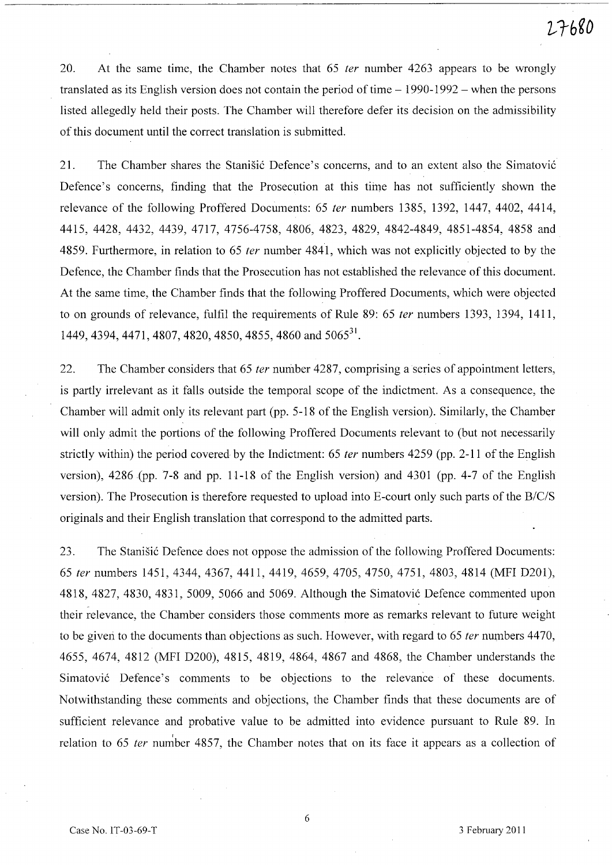20. At the same time, the Chamber notes that 65 fer number 4263 appears to be wrongly translated as its English version does not contain the period of time  $-1990-1992$  – when the persons listed allegedly held their posts. The Chamber will therefore defer its decision on the admissibility of this document until the correct translation is submitted.

21. The Chamber shares the Stanisic Defence's concerns, and to an extent also the Simatovic Defence's concerns, finding that the Prosecution at this time has not sufficiently shown the relevance of the following Proffered Documents: 65 fer numbers 1385, 1392, 1447, 4402, 4414, 4415,4428,4432,4439,4717,4756-4758,4806,4823, 4829, 4842-4849, 4851-4854, 4858 and 4859. Furthermore, in relation to 65 fer number 4841, which was not explicitly objected to by the Defence, the Chamber finds that the Prosecution has not established the relevance of this document. At the same time, the Chamber finds that the following Proffered Documents, which were objected to on grounds of relevance, fulfil the requirements of Rule 89: 65 fer numbers 1393, 1394, 1411, 1449, 4394, 4471, 4807, 4820, 4850, 4855, 4860 and 5065<sup>31</sup>.

22. The Chamber considers that 65 *ter* number 4287, comprising a series of appointment letters, is partly irrelevant as it falls outside the temporal scope of the indictment. As a consequence, the Chamber will admit only its relevant part (pp. 5-18 of the English version). Similarly, the Chamber will only admit the portions of the following Proffered Documents relevant to (but not necessarily strictly within) the period covered by the Indictment: 65 *ter* numbers 4259 (pp. 2-11 of the English version), 4286 (pp. 7-8 and pp. 11-18 of the English version) and 4301 (pp. 4-7 of the English version). The Prosecution is therefore requested to upload into E-court only such parts of the *B/C/S*  originals and their English translation that correspond to the admitted parts.

23. The Stanišić Defence does not oppose the admission of the following Proffered Documents: *65* fer numbers 1451, 4344, 4367, 4411, 4419, 4659, 4705, 4750, 4751, 4803, 4814 (MFI D201), 4818, 4827, 4830, 4831, 5009, 5066 and 5069. Although the Simatović Defence commented upon their relevance, the Chamber considers those comments more as remarks relevant to future weight to be given to the documents than objections as such. However, with regard to 65 *ter* numbers 4470, 4655, 4674, 4812 (MFI D200), 4815, 4819, 4864, 4867 and 4868, the Chamber understands the Simatović Defence's comments to be objections to the relevance of these documents. Notwithstanding these comments and objections, the Chamber finds that these documents are of sufficient relevance and probative value to be admitted into evidence pursuant to Rule 89. In relation to 65 *ter* number 4857, the Chamber notes that on its face it appears as a collection of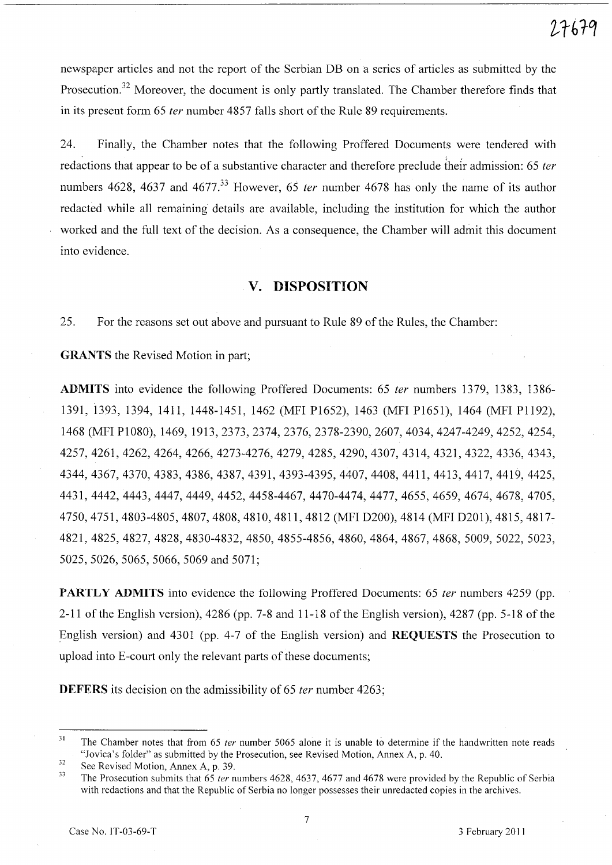newspaper articles and not the report of the Serbian DB on a series of articles as submitted by the Prosecution.<sup>32</sup> Moreover, the document is only partly translated. The Chamber therefore finds that in its present form 65 fer number 4857 falls short of the Rule 89 requirements.

24. Finally, the Chamber notes that the following Proffered Documents were tendered with redactions that appear to be of a substantive character and therefore preclude their admission: 65 ter numbers 4628, 4637 and 4677.<sup>33</sup> However, 65 *ter* number 4678 has only the name of its author redacted while all remaining details are available, including the institution for which the author worked and the full text of the decision. As a consequence, the Chamber will admit this document into evidence.

# **v. DISPOSITION**

25. For the reasons set out above and pursuant to Rule 89 of the Rules, the Chamber:

**GRANTS** the Revised Motion in part;

**ADMITS** into evidence the following Proffered Documents: 65 fer numbers 1379, 1383, 1386- 1391, 1393, 1394, 1411, 1448-1451, 1462 (MFI PI652), 1463 (MFI PI651), 1464 (MFI PI 192), 1468 (MFIPI080), 1469, 1913,2373,2374,2376,2378-2390,2607,4034,4247-4249,4252,4254, 4257,4261,4262,4264,4266,4273-4276,4279, 4285,4290,4307,4314,4321,4322,4336,4343, 4344,4367,4370,4383,4386,4387,4391,4393-4395,4407,4408,4411,4413,4417,4419,4425, 4431,4442,4443,4447,4449,4452,4458-4467, 4470-4474, 4477,4655, 4659, 4674, 4678, 4705, 4750,4751,4803-4805,4807,4808,4810,4811,4812 (MFI D200), 4814 (MFI D201), 4815, 4817- 4821,4825,4827,4828,4830-4832,4850,4855-4856, 4860, 4864, 4867,4868, 5009, 5022, 5023, 5025,5026,5065,5066,5069 and 5071;

**PARTLY ADMITS** into evidence the following Proffered Documents: 65 *ter* numbers 4259 (pp. 2-11 of the English version), 4286 (pp. 7-8 and 11-18 of the English version), 4287 (pp. 5-18 of the English version) and 4301 (pp. 4-7 of the English version) and **REQUESTS** the Prosecution to upload into E-court only the relevant parts of these documents;

**DEFERS** its decision on the admissibility of 65 *ter* number 4263;

<sup>31</sup>  The Chamber notes that from 65 *ter* number 5065 alone it is unable to determine if the handwritten note reads "Jovica's folder" as submitted by the Prosecution, see Revised Motion, Annex A, p. 40.

<sup>32</sup>  See Revised Motion, Annex A, p. 39.

<sup>33</sup>  The Prosecution submits that 65 *ter* numbers 4628, 4637, 4677 and 4678 were provided by the Republic of Serbia with redactions and that the Republic of Serbia no longer possesses their unredacted copies in the archives.